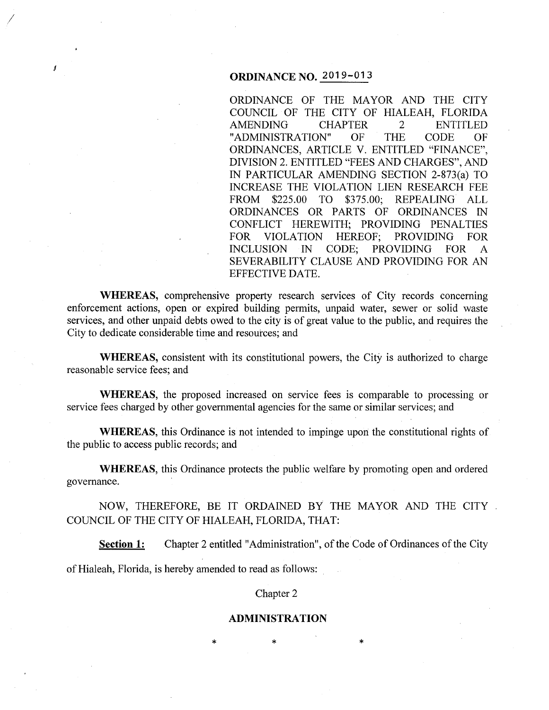# **ORDINANCE NO.** 2019-013

I

I

ORDINANCE OF THE MAYOR AND THE CITY COUNCIL OF THE CITY OF HIALEAH, FLORIDA AMENDING CHAPTER 2 ENTITLED "ADMINISTRATION" OF THE CODE OF ORDINANCES, ARTICLE V. ENTITLED "FINANCE", DIVISION 2. ENTITLED "FEES AND CHARGES", AND IN PARTICULAR AMENDING SECTION 2-873(a) TO INCREASE THE VIOLATION LIEN RESEARCH FEE FROM \$225.00 TO \$375.00; REPEALING ALL ORDINANCES OR PARTS OF ORDINANCES IN CONFLICT HEREWITH; PROVIDING PENALTIES FOR VIOLATION HEREOF; PROVIDING FOR INCLUSION IN CODE; PROVIDING FOR A SEVERABILITY CLAUSE AND PROVIDING FOR AN EFFECTIVE DATE.

**WHEREAS,** comprehensive property research services of City records concerning enforcement actions, open or expired building permits, unpaid water, sewer or solid waste services, and other unpaid debts owed to the city is of great value to the public, and requires the City to dedicate considerable time and resources; and

**WHEREAS,** consistent with its constitutional powers, the City is authorized to charge reasonable service fees; and

**WHEREAS,** the proposed increased on service fees is comparable to processing or service fees charged by other governmental agencies for the same or similar services; and

**WHEREAS**, this Ordinance is not intended to impinge upon the constitutional rights of the public to access public records; and

**WHEREAS,** this Ordinance protects the public welfare by promoting open and ordered governance.

NOW, THEREFORE, BE IT ORDAINED BY THE MAYOR AND THE CITY COUNCIL OF THE CITY OF HIALEAH, FLORIDA, THAT:

**Section 1:** Chapter 2 entitled "Administration", of the Code of Ordinances of the City of Hialeah, Florida, is hereby amended to read as follows:

#### Chapter 2

#### **ADMINISTRATION**

\* \* \*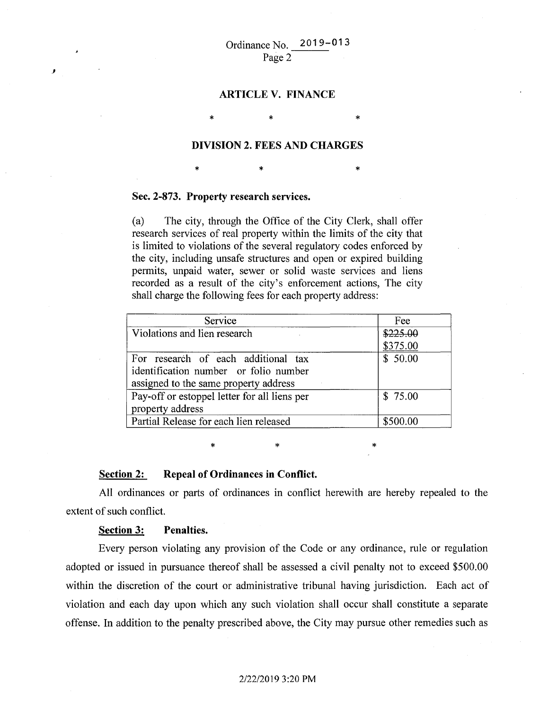\* \*

# **ARTICLE V. FINANCE**

### **DIVISION 2. FEES AND CHARGES**

\* \* \* \* \* \*

#### **Sec. 2-873. Property research services.**

\*

(a) The city, through the Office of the City Clerk, shall offer research services of real property within the limits of the city that is limited to violations of the several regulatory codes enforced by the city, including unsafe structures and open or expired building permits, unpaid water, sewer or solid waste services and liens recorded as a result of the city's enforcement actions, The city shall charge the following fees for each property address:

| Service                                                                                                               | Fee      |
|-----------------------------------------------------------------------------------------------------------------------|----------|
| Violations and lien research                                                                                          | \$225.00 |
|                                                                                                                       | \$375.00 |
| For research of each additional tax<br>identification number or folio number<br>assigned to the same property address | \$50.00  |
| Pay-off or estoppel letter for all liens per<br>property address                                                      | \$75.00  |
| Partial Release for each lien released                                                                                | \$500.00 |

\* \* \*

### **Section 2: Repeal of Ordinances in Conflict.**

All ordinances or parts of ordinances in conflict herewith are hereby repealed to the extent of such conflict.

#### **Section 3: Penalties.**

,,

Every person violating any provision of the Code or any ordinance, rule or regulation adopted or issued in pursuance thereof shall be assessed a civil penalty not to exceed \$500.00 within the discretion of the court or administrative tribunal having jurisdiction. Each act of violation and each day upon which any such violation shall occur shall constitute a separate offense. In addition to the penalty prescribed above, the City may pursue other remedies such as